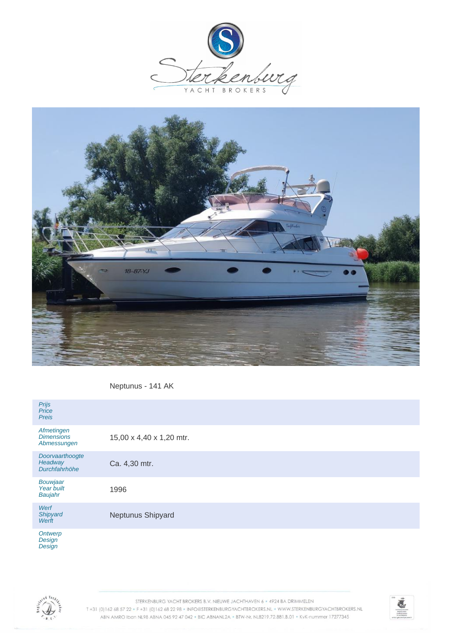



Neptunus - 141 AK

| Prijs<br>Price<br><b>Preis</b>                 |                          |
|------------------------------------------------|--------------------------|
| Afmetingen<br><b>Dimensions</b><br>Abmessungen | 15,00 x 4,40 x 1,20 mtr. |
| Doorvaarthoogte<br>Headway<br>Durchfahrhöhe    | Ca. 4,30 mtr.            |
| Bouwjaar<br>Year built<br>Baujahr              | 1996                     |
| Werf<br>Shipyard<br>Werft                      | Neptunus Shipyard        |
| Ontwerp<br>$\sim$ $\sim$                       |                          |

**Design Design** 



STERKENBURG YACHT BROKERS B.V. NIEUWE JACHTHAVEN 6 · 4924 BA DRIMMELEN T+31 (0)162 68 57 22 · F+31 (0)162 68 22 98 · INFO@STERKENBURGYACHTBROKERS.NL · WWW.STERKENBURGYACHTBROKERS.NL ABN AMRO Iban NL98 ABNA 045 92 47 042 . BIC ABNANL2A . BTW-Nr. NL8219.72.881.B.01 . KvK-nummer 17277345

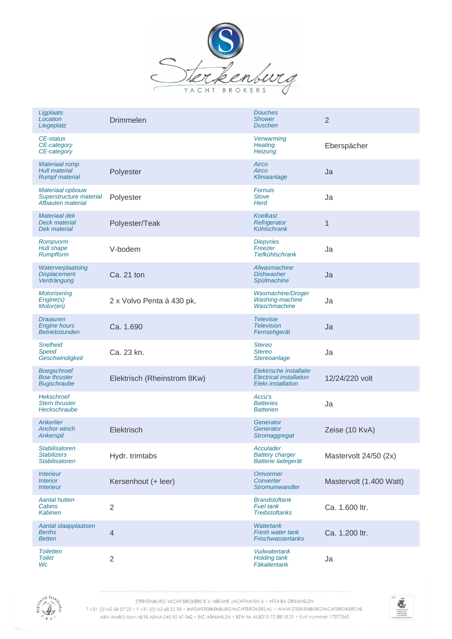

| Ligplaats<br>Location<br>Liegeplatz                                    | <b>Drimmelen</b>            | <b>Douches</b><br><b>Shower</b><br><b>Duschen</b>                               | $\overline{2}$          |
|------------------------------------------------------------------------|-----------------------------|---------------------------------------------------------------------------------|-------------------------|
| CE-status<br>CE-category<br>CE-category                                |                             | Verwarming<br><b>Heating</b><br>Heizung                                         | Eberspächer             |
| <b>Materiaal romp</b><br><b>Hull material</b><br><b>Rumpf material</b> | Polyester                   | Airco<br>Airco<br>Klimaanlage                                                   | Ja                      |
| Materiaal opbouw<br>Superstructure material<br>Afbauten material       | Polyester                   | <b>Fornuis</b><br><b>Stove</b><br><b>Herd</b>                                   | Ja                      |
| Materiaal dek<br>Deck material<br><b>Dek material</b>                  | Polyester/Teak              | Koelkast<br>Refrigerator<br><b>Kühlschrank</b>                                  | 1                       |
| Rompvorm<br><b>Hull shape</b><br>Rumpfform                             | V-bodem                     | <b>Diepvries</b><br>Freezer<br><b>Tiefkühlschrank</b>                           | Ja                      |
| Waterverplaatsing<br><b>Displacement</b><br>Verdrängung                | Ca. 21 ton                  | Afwasmachine<br><b>Dishwasher</b><br>Spülmachine                                | Ja                      |
| <b>Motorisering</b><br>Engine(s)<br>Motor(en)                          | 2 x Volvo Penta à 430 pk,   | Wasmachine/Droger<br>Washing-machine<br>Waschmachine                            | Ja                      |
| <b>Draaiuren</b><br><b>Engine hours</b><br><b>Betriebstunden</b>       | Ca. 1.690                   | <b>Televisie</b><br><b>Television</b><br>Fernsehgerät                           | Ja                      |
| <b>Snelheid</b><br>Speed<br>Geschwindigkeit                            | Ca. 23 kn.                  | <b>Stereo</b><br><b>Stereo</b><br>Stereoanlage                                  | Ja                      |
| <b>Boegschroef</b><br><b>Bow thruster</b><br><b>Bugschraube</b>        | Elektrisch (Rheinstrom 8Kw) | Elektrische installatie<br><b>Electrical installation</b><br>Elekr.installation | 12/24/220 volt          |
| <b>Hekschroef</b><br><b>Stern thruster</b><br>Heckschraube             |                             | Accu's<br><b>Batteries</b><br><b>Batterien</b>                                  | Ja                      |
| Ankerlier<br><b>Anchor winch</b><br>Ankerspil                          | Elektrisch                  | Generator<br>Generator<br>Stromaggregat                                         | Zeise (10 KvA)          |
| <b>Stabilisatoren</b><br><b>Stabilizers</b><br><b>Stabilisatoren</b>   | Hydr. trimtabs              | Acculader<br><b>Battery charger</b><br>Batterie ladegerät                       | Mastervolt 24/50 (2x)   |
| <i><b>Interieur</b></i><br><b>Interior</b><br><b>Interieur</b>         | Kersenhout (+ leer)         | <b>Omvormer</b><br>Converter<br><b>Stromumwandler</b>                           | Mastervolt (1.400 Watt) |
| <b>Aantal hutten</b><br>Cabins<br><b>Kabinen</b>                       | $\overline{2}$              | <b>Brandstoftank</b><br><b>Fuel tank</b><br><b>Treibstoftanks</b>               | Ca. 1.600 ltr.          |
| Aantal slaapplaatsen<br><b>Berths</b><br><b>Betten</b>                 | $\overline{4}$              | <b>Watertank</b><br>Fresh water tank<br><b>Frischwassertanks</b>                | Ca. 1.200 ltr.          |
| <b>Toiletten</b><br><b>Toilet</b><br>Wc                                | $\overline{2}$              | Vuilwatertank<br><b>Holding tank</b><br>Fäkalientank                            | Ja                      |



STERKENBURG YACHT BROKERS B.V. NIEUWE JACHTHAVEN 6 · 4924 BA DRIMMELEN

T+31 (0)162 68 57 22 · F+31 (0)162 68 22 98 · INFO@STERKENBURGYACHTBROKERS.NL · WWW.STERKENBURGYACHTBROKERS.NL ABN AMRO Iban NL98 ABNA 045 92 47 042 . BIC ABNANL2A . BTW-Nr. NL8219.72.881.B.01 . KvK-nummer 17277345